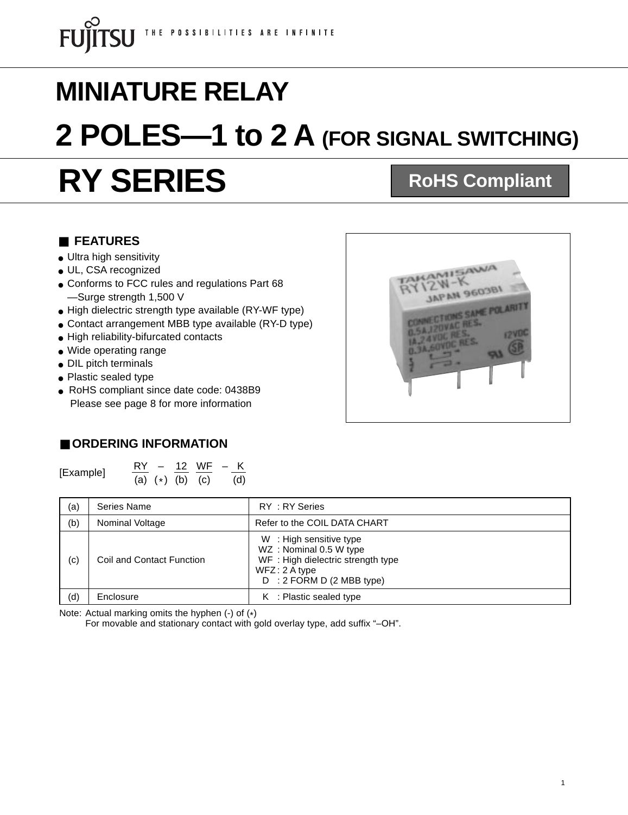# **RY SERIES MINIATURE RELAY 2 POLES—1 to 2 A (FOR SIGNAL SWITCHING) RoHS Compliant**

#### ■ **FEATURES**

- Ultra high sensitivity
- UL, CSA recognized
- Conforms to FCC rules and regulations Part 68 —Surge strength 1,500 V
- High dielectric strength type available (RY-WF type)
- Contact arrangement MBB type available (RY-D type)
- High reliability-bifurcated contacts
- Wide operating range
- DIL pitch terminals
- Plastic sealed type
- RoHS compliant since date code: 0438B9 Please see page 8 for more information



#### ■ **ORDERING INFORMATION**

[Example]  $\frac{RY}{(a)} \div \frac{12}{(b)} \frac{WF}{(c)} - \frac{K}{(d)}$ 

| (a) | Series Name               | RY: RY Series                                                                                                                          |
|-----|---------------------------|----------------------------------------------------------------------------------------------------------------------------------------|
| (b) | Nominal Voltage           | Refer to the COIL DATA CHART                                                                                                           |
| (c) | Coil and Contact Function | W: High sensitive type<br>WZ: Nominal 0.5 W type<br>WF: High dielectric strength type<br>$WFZ: 2A$ type<br>$D : 2$ FORM D (2 MBB type) |
| (d) | Enclosure                 | $K$ : Plastic sealed type                                                                                                              |

Note: Actual marking omits the hyphen (-) of (\*)

For movable and stationary contact with gold overlay type, add suffix "–OH".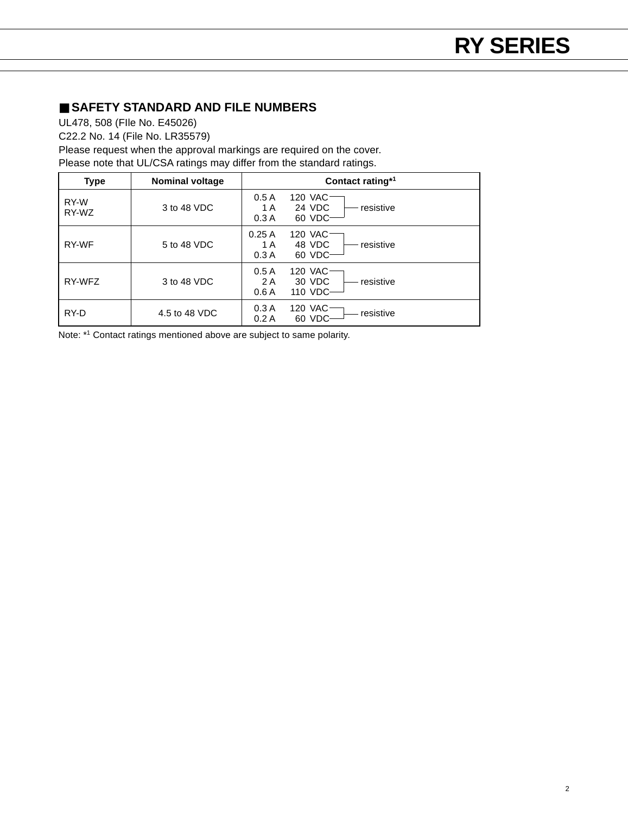#### ■ **SAFETY STANDARD AND FILE NUMBERS**

UL478, 508 (FIle No. E45026)

C22.2 No. 14 (File No. LR35579)

Please request when the approval markings are required on the cover. Please note that UL/CSA ratings may differ from the standard ratings.

| <b>Type</b>   | <b>Nominal voltage</b> | Contact rating*1                                                  |
|---------------|------------------------|-------------------------------------------------------------------|
| RY-W<br>RY-WZ | 3 to 48 VDC            | 0.5A<br>120 VAC<br>24 VDC<br>resistive<br>1 A<br>60 VDC<br>0.3A   |
| RY-WF         | 5 to 48 VDC            | 120 VAC<br>0.25A<br>48 VDC<br>resistive<br>1 A<br>60 VDC-<br>0.3A |
| RY-WFZ        | 3 to 48 VDC            | 0.5A<br>120 VAC<br>30 VDC<br>resistive<br>2 A<br>110 VDC-<br>0.6A |
| RY-D          | 4.5 to 48 VDC          | 120 VAC<br>0.3A<br>resistive<br>0.2A<br>60 VDC                    |

Note: \*1 Contact ratings mentioned above are subject to same polarity.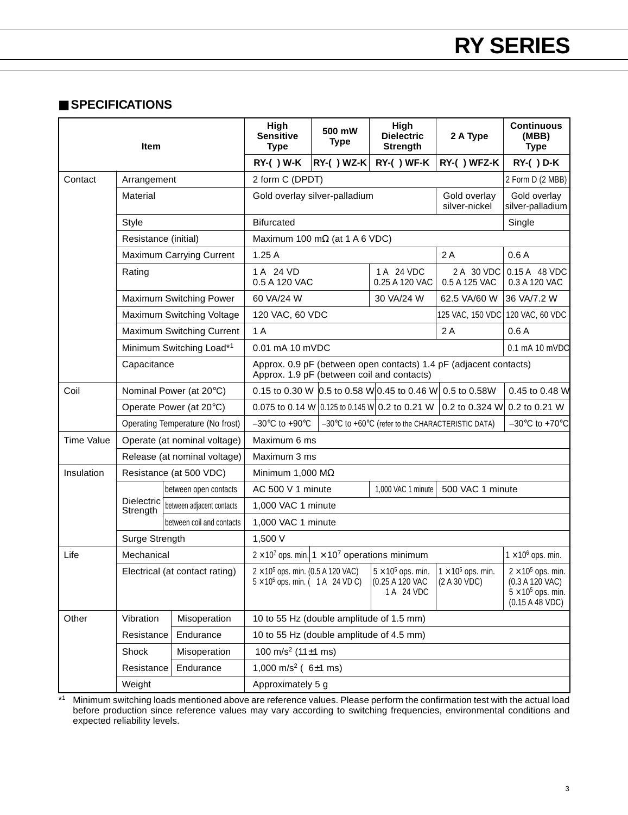#### ■ **SPECIFICATIONS**

| Item                   |                                                    | High<br><b>Sensitive</b><br><b>Type</b>                                                                                        | 500 mW<br>Type                                                                                                                                      | High<br><b>Dielectric</b><br><b>Strength</b> | 2 A Type                                                   | <b>Continuous</b><br>(MBB)<br><b>Type</b>                     |                                                                                              |  |
|------------------------|----------------------------------------------------|--------------------------------------------------------------------------------------------------------------------------------|-----------------------------------------------------------------------------------------------------------------------------------------------------|----------------------------------------------|------------------------------------------------------------|---------------------------------------------------------------|----------------------------------------------------------------------------------------------|--|
|                        |                                                    |                                                                                                                                | <b>RY-( ) W-K</b>                                                                                                                                   | <b>RY-( ) WZ-K</b>                           | RY-() WF-K                                                 | RY-() WFZ-K                                                   | <b>RY-( ) D-K</b>                                                                            |  |
| Contact<br>Arrangement |                                                    |                                                                                                                                | 2 form C (DPDT)                                                                                                                                     |                                              |                                                            | 2 Form D (2 MBB)                                              |                                                                                              |  |
|                        | Material                                           |                                                                                                                                | Gold overlay silver-palladium<br>Gold overlay<br>silver-nickel                                                                                      |                                              |                                                            | Gold overlay<br>silver-palladium                              |                                                                                              |  |
|                        | Style                                              |                                                                                                                                | <b>Bifurcated</b>                                                                                                                                   |                                              |                                                            |                                                               | Single                                                                                       |  |
|                        | Resistance (initial)                               |                                                                                                                                | Maximum 100 m $\Omega$ (at 1 A 6 VDC)                                                                                                               |                                              |                                                            |                                                               |                                                                                              |  |
|                        | <b>Maximum Carrying Current</b>                    |                                                                                                                                | 1.25A                                                                                                                                               |                                              |                                                            | 2A                                                            | 0.6A                                                                                         |  |
|                        | Rating                                             |                                                                                                                                | 1 A 24 VD<br>0.5 A 120 VAC                                                                                                                          |                                              | 1 A 24 VDC<br>0.25 A 120 VAC                               | 2 A 30 VDC<br>0.5 A 125 VAC                                   | 0.15 A 48 VDC<br>0.3 A 120 VAC                                                               |  |
|                        | Maximum Switching Power                            |                                                                                                                                | 60 VA/24 W                                                                                                                                          |                                              | 30 VA/24 W                                                 | 62.5 VA/60 W                                                  | 36 VA/7.2 W                                                                                  |  |
|                        |                                                    | Maximum Switching Voltage                                                                                                      | 120 VAC, 60 VDC                                                                                                                                     |                                              |                                                            | 125 VAC, 150 VDC                                              | 120 VAC, 60 VDC                                                                              |  |
|                        | Maximum Switching Current                          |                                                                                                                                | 1A                                                                                                                                                  |                                              |                                                            | 2A                                                            | 0.6A                                                                                         |  |
|                        | Minimum Switching Load*1                           |                                                                                                                                | 0.01 mA 10 mVDC                                                                                                                                     |                                              |                                                            |                                                               | 0.1 mA 10 mVDC                                                                               |  |
|                        |                                                    | Approx. 0.9 pF (between open contacts) 1.4 pF (adjacent contacts)<br>Capacitance<br>Approx. 1.9 pF (between coil and contacts) |                                                                                                                                                     |                                              |                                                            |                                                               |                                                                                              |  |
| Coil                   |                                                    | Nominal Power (at 20°C)                                                                                                        |                                                                                                                                                     |                                              | 0.15 to 0.30 W 0.5 to 0.58 W 0.45 to 0.46 W 0.5 to 0.58W   |                                                               | 0.45 to 0.48 W                                                                               |  |
|                        |                                                    | Operate Power (at 20°C)                                                                                                        |                                                                                                                                                     |                                              |                                                            | 0.075 to 0.14 W 0.125 to 0.145 W 0.2 to 0.21 W 0.2 to 0.324 W | 0.2 to 0.21 W                                                                                |  |
|                        |                                                    | Operating Temperature (No frost)                                                                                               | $-30^{\circ}$ C to +90 $^{\circ}$ C<br>$-30^{\circ}$ C to +70 $^{\circ}$ C<br>$-30^{\circ}$ C to $+60^{\circ}$ C (refer to the CHARACTERISTIC DATA) |                                              |                                                            |                                                               |                                                                                              |  |
| <b>Time Value</b>      |                                                    | Operate (at nominal voltage)                                                                                                   | Maximum 6 ms                                                                                                                                        |                                              |                                                            |                                                               |                                                                                              |  |
|                        |                                                    | Release (at nominal voltage)                                                                                                   | Maximum 3 ms                                                                                                                                        |                                              |                                                            |                                                               |                                                                                              |  |
| Insulation             | Resistance (at 500 VDC)<br>Minimum 1,000 $M\Omega$ |                                                                                                                                |                                                                                                                                                     |                                              |                                                            |                                                               |                                                                                              |  |
|                        | <b>Dielectric</b><br>Strength                      | between open contacts                                                                                                          | AC 500 V 1 minute<br>1,000 VAC 1 minute<br>500 VAC 1 minute                                                                                         |                                              |                                                            |                                                               |                                                                                              |  |
|                        |                                                    | between adjacent contacts                                                                                                      | 1,000 VAC 1 minute                                                                                                                                  |                                              |                                                            |                                                               |                                                                                              |  |
|                        |                                                    | between coil and contacts                                                                                                      | 1,000 VAC 1 minute                                                                                                                                  |                                              |                                                            |                                                               |                                                                                              |  |
|                        | Surge Strength                                     |                                                                                                                                | 1,500 V                                                                                                                                             |                                              |                                                            |                                                               |                                                                                              |  |
| Life                   | Mechanical                                         |                                                                                                                                | $2 \times 10^7$ ops. min. $1 \times 10^7$ operations minimum                                                                                        |                                              |                                                            |                                                               | $1 \times 10^6$ ops. min.                                                                    |  |
|                        |                                                    | Electrical (at contact rating)                                                                                                 | $2 \times 10^5$ ops. min. (0.5 A 120 VAC)<br>$5 \times 10^5$ ops. min. (1 A 24 VD C)                                                                |                                              | $5 \times 10^5$ ops. min.<br>(0.25 A 120 VAC<br>1 A 24 VDC | $1 \times 10^5$ ops. min.<br>(2 A 30 VDC)                     | $2 \times 10^5$ ops. min.<br>(0.3 A 120 VAC)<br>$5 \times 10^5$ ops. min.<br>(0.15 A 48 VDC) |  |
| Other                  | Vibration                                          | Misoperation                                                                                                                   | 10 to 55 Hz (double amplitude of 1.5 mm)                                                                                                            |                                              |                                                            |                                                               |                                                                                              |  |
|                        | Resistance                                         | Endurance                                                                                                                      | 10 to 55 Hz (double amplitude of 4.5 mm)                                                                                                            |                                              |                                                            |                                                               |                                                                                              |  |
|                        | Shock                                              | Misoperation                                                                                                                   | 100 m/s <sup>2</sup> (11 $\pm$ 1 ms)                                                                                                                |                                              |                                                            |                                                               |                                                                                              |  |
|                        | Resistance                                         | Endurance                                                                                                                      | 1,000 m/s <sup>2</sup> ( $6±1$ ms)                                                                                                                  |                                              |                                                            |                                                               |                                                                                              |  |
|                        | Weight                                             |                                                                                                                                | Approximately 5 g                                                                                                                                   |                                              |                                                            |                                                               |                                                                                              |  |

\*1 Minimum switching loads mentioned above are reference values. Please perform the confirmation test with the actual load before production since reference values may vary according to switching frequencies, environmental conditions and expected reliability levels.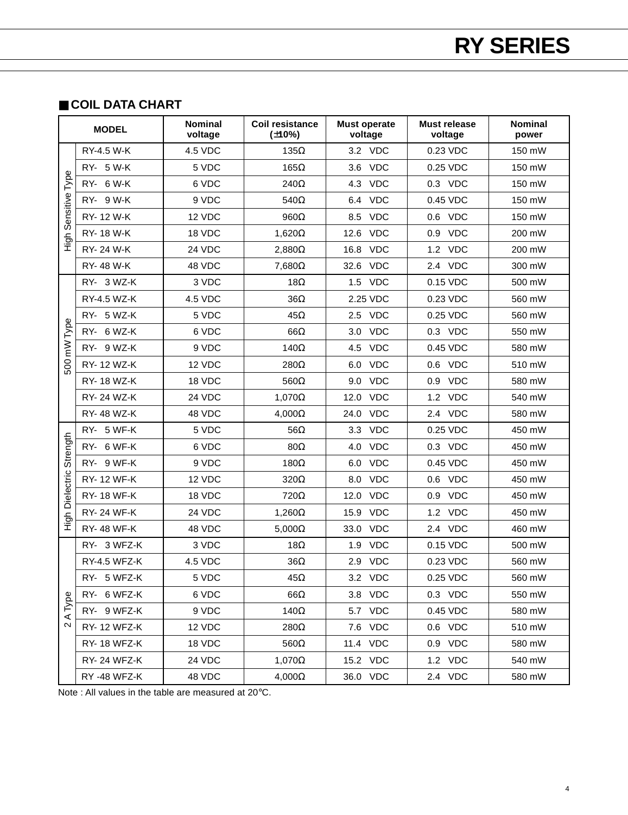#### ■ **COIL DATA CHART**

| <b>MODEL</b>    |                    | <b>Nominal</b><br>voltage | <b>Coil resistance</b><br>$(\pm 10\%)$ | <b>Must operate</b><br>voltage | <b>Must release</b><br>voltage | Nominal<br>power |
|-----------------|--------------------|---------------------------|----------------------------------------|--------------------------------|--------------------------------|------------------|
|                 | RY-4.5 W-K         | 4.5 VDC                   | $135\Omega$                            | 3.2 VDC                        | 0.23 VDC                       | 150 mW           |
|                 | RY- 5 W-K          | 5 VDC                     | $165\Omega$                            | 3.6 VDC                        | 0.25 VDC                       | 150 mW           |
|                 | RY- 6 W-K          | 6 VDC                     | 240Ω                                   | 4.3 VDC                        | 0.3 VDC                        | 150 mW           |
|                 | RY- 9 W-K          | 9 VDC                     | $540\Omega$                            | <b>VDC</b><br>6.4              | 0.45 VDC                       | 150 mW           |
| Sensitive Type  | RY-12 W-K          | 12 VDC                    | $960\Omega$                            | <b>VDC</b><br>8.5              | 0.6 VDC                        | 150 mW           |
|                 | RY-18 W-K          | 18 VDC                    | $1,620\Omega$                          | 12.6 VDC                       | 0.9 VDC                        | 200 mW           |
| ら<br>エ          | RY- 24 W-K         | 24 VDC                    | $2,880\Omega$                          | 16.8<br><b>VDC</b>             | 1.2 VDC                        | 200 mW           |
|                 | RY-48 W-K          | 48 VDC                    | $7,680\Omega$                          | 32.6 VDC                       | 2.4 VDC                        | 300 mW           |
|                 | RY- 3 WZ-K         | 3 VDC                     | 18 $\Omega$                            | 1.5 VDC                        | 0.15 VDC                       | 500 mW           |
|                 | RY-4.5 WZ-K        | 4.5 VDC                   | $36\Omega$                             | 2.25 VDC                       | 0.23 VDC                       | 560 mW           |
|                 | RY- 5 WZ-K         | 5 VDC                     | $45\Omega$                             | 2.5 VDC                        | 0.25 VDC                       | 560 mW           |
|                 | 6 WZ-K<br>RY-      | 6 VDC                     | $66\Omega$                             | 3.0 VDC                        | 0.3 VDC                        | 550 mW           |
| 500 mW Type     | RY- 9 WZ-K         | 9 VDC                     | 140 $\Omega$                           | <b>VDC</b><br>4.5              | 0.45 VDC                       | 580 mW           |
|                 | RY-12 WZ-K         | 12 VDC                    | 280Ω                                   | <b>VDC</b><br>6.0              | 0.6 VDC                        | 510 mW           |
|                 | RY-18 WZ-K         | 18 VDC                    | $560\Omega$                            | 9.0 VDC                        | 0.9 VDC                        | 580 mW           |
|                 | RY- 24 WZ-K        | 24 VDC                    | $1,070\Omega$                          | <b>VDC</b><br>12.0             | 1.2 VDC                        | 540 mW           |
|                 | RY-48 WZ-K         | 48 VDC                    | $4,000\Omega$                          | 24.0 VDC                       | 2.4 VDC                        | 580 mW           |
|                 | RY- 5 WF-K         | 5 VDC                     | $56\Omega$                             | 3.3 VDC                        | 0.25 VDC                       | 450 mW           |
| Strength        | RY- 6 WF-K         | 6 VDC                     | $80\Omega$                             | <b>VDC</b><br>4.0              | 0.3 VDC                        | 450 mW           |
|                 | RY- 9 WF-K         | 9 VDC                     | $180\Omega$                            | <b>VDC</b><br>6.0              | 0.45 VDC                       | 450 mW           |
|                 | <b>RY-12 WF-K</b>  | 12 VDC                    | $320\Omega$                            | 8.0 VDC                        | 0.6 VDC                        | 450 mW           |
| High Dielectric | <b>RY-18 WF-K</b>  | 18 VDC                    | 720Ω                                   | <b>VDC</b><br>12.0             | 0.9 VDC                        | 450 mW           |
|                 | <b>RY-24 WF-K</b>  | 24 VDC                    | $1,260\Omega$                          | 15.9<br><b>VDC</b>             | 1.2 VDC                        | 450 mW           |
|                 | <b>RY-48 WF-K</b>  | 48 VDC                    | $5,000\Omega$                          | 33.0 VDC                       | 2.4 VDC                        | 460 mW           |
|                 | RY- 3 WFZ-K        | 3 VDC                     | 18 $\Omega$                            | 1.9 VDC                        | 0.15 VDC                       | 500 mW           |
|                 | RY-4.5 WFZ-K       | 4.5 VDC                   | $36\Omega$                             | 2.9 VDC                        | 0.23 VDC                       | 560 mW           |
|                 | RY- 5 WFZ-K        | 5 VDC                     | 45Ω                                    | 3.2 VDC                        | 0.25 VDC                       | 560 mW           |
| Type            | RY- 6 WFZ-K        | 6 VDC                     | $66\Omega$                             | 3.8 VDC                        | 0.3 VDC                        | 550 mW           |
| ⋖               | RY- 9 WFZ-K        | 9 VDC                     | 140 $\Omega$                           | 5.7 VDC                        | 0.45 VDC                       | 580 mW           |
| 2               | RY- 12 WFZ-K       | 12 VDC                    | 280Ω                                   | 7.6 VDC                        | 0.6 VDC                        | 510 mW           |
|                 | <b>RY-18 WFZ-K</b> | 18 VDC                    | $560\Omega$                            | 11.4 VDC                       | 0.9 VDC                        | 580 mW           |
|                 | <b>RY-24 WFZ-K</b> | 24 VDC                    | $1,070\Omega$                          | 15.2 VDC                       | 1.2 VDC                        | 540 mW           |
|                 | RY-48 WFZ-K        | 48 VDC                    | $4,000\Omega$                          | 36.0 VDC                       | 2.4 VDC                        | 580 mW           |

Note : All values in the table are measured at 20°C.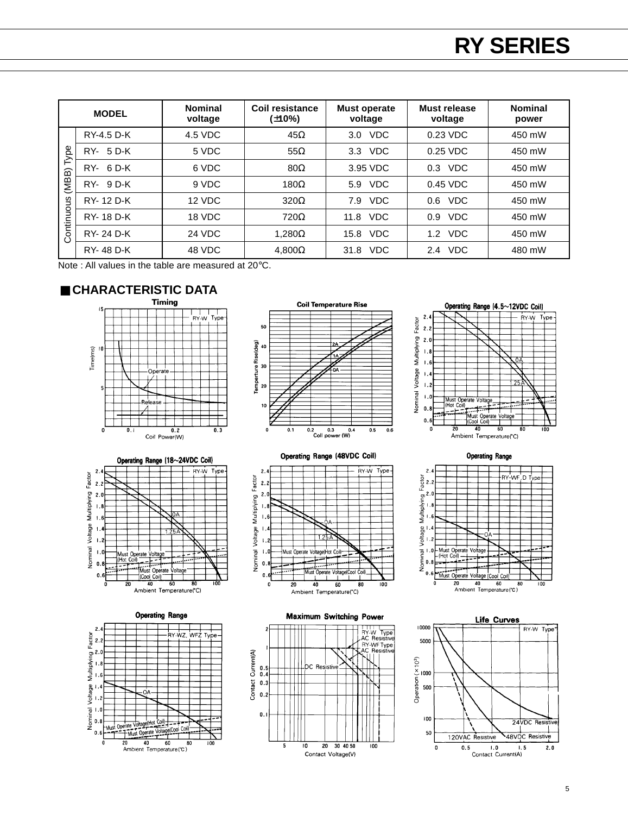|            | <b>MODEL</b>     | <b>Nominal</b><br>voltage | Coil resistance<br>$(\pm 10\%)$ | <b>Must operate</b><br>voltage | Must release<br>voltage | <b>Nominal</b><br>power |
|------------|------------------|---------------------------|---------------------------------|--------------------------------|-------------------------|-------------------------|
|            | RY-4.5 D-K       | 4.5 VDC                   | $45\Omega$                      | <b>VDC</b><br>3.0              | 0.23 VDC                | 450 mW                  |
| ype        | RY- 5 D-K        | 5 VDC                     | $55\Omega$                      | <b>VDC</b><br>3.3 <sub>2</sub> | $0.25$ VDC              | 450 mW                  |
| ⊢          | $RY - 6D-K$      | 6 VDC                     | $80\Omega$                      | 3.95 VDC                       | $0.3$ VDC               | 450 mW                  |
| (MBB)      | $RY - 9D-K$      | 9 VDC                     | 180 $\Omega$                    | <b>VDC</b><br>5.9              | 0.45 VDC                | 450 mW                  |
|            | RY-12 D-K        | 12 VDC                    | $320\Omega$                     | <b>VDC</b><br>7.9              | <b>VDC</b><br>0.6       | 450 mW                  |
| Continuous | <b>RY-18 D-K</b> | 18 VDC                    | $720\Omega$                     | <b>VDC</b><br>11.8             | <b>VDC</b><br>0.9       | 450 mW                  |
|            | <b>RY-24 D-K</b> | 24 VDC                    | $1.280\Omega$                   | <b>VDC</b><br>15.8             | VDC<br>1.2              | 450 mW                  |
|            | RY-48 D-K        | 48 VDC                    | $4,800\Omega$                   | <b>VDC</b><br>31.8             | 2.4 VDC                 | 480 mW                  |

Note : All values in the table are measured at 20°C.















**Maximum Switching Power** 





**Operating Range** 



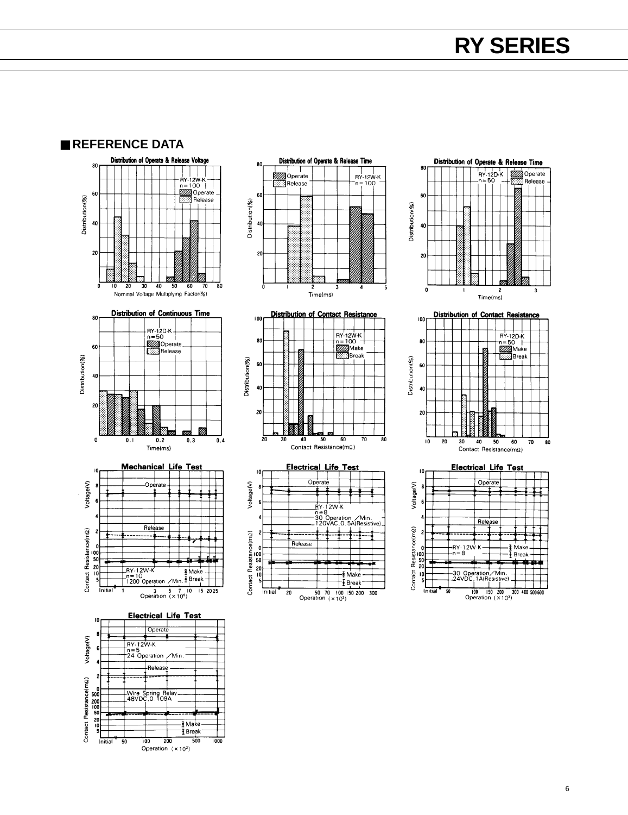■ **REFERENCE DATA**







Initial  $\overline{20}$ 







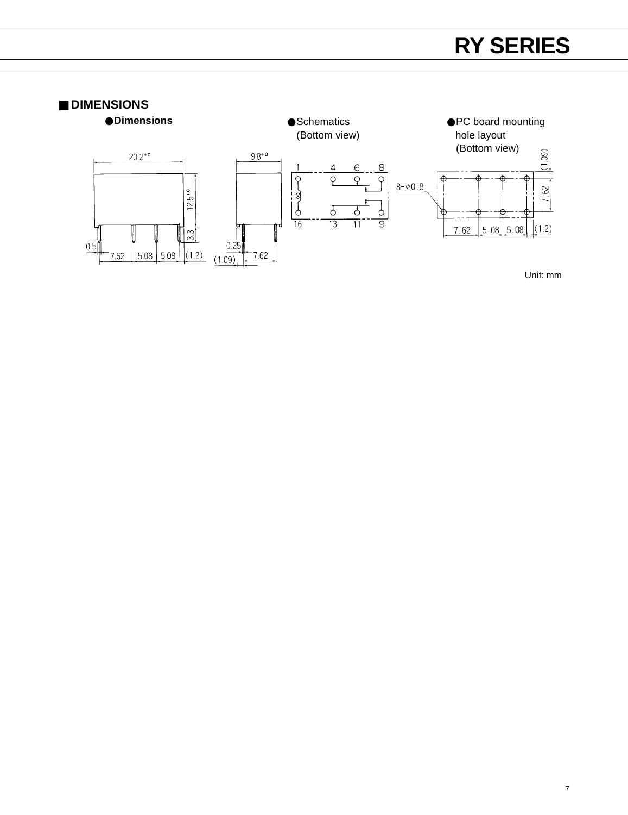

Unit: mm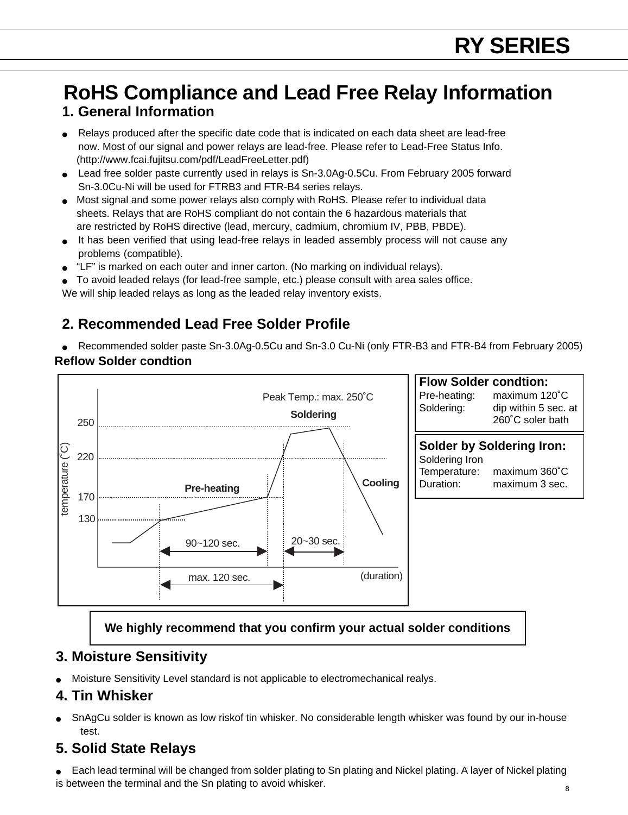### **1. General Information RoHS Compliance and Lead Free Relay Information**

- Relays produced after the specific date code that is indicated on each data sheet are lead-free now. Most of our signal and power relays are lead-free. Please refer to Lead-Free Status Info. (http://www.fcai.fujitsu.com/pdf/LeadFreeLetter.pdf)
- Lead free solder paste currently used in relays is Sn-3.0Ag-0.5Cu. From February 2005 forward Sn-3.0Cu-Ni will be used for FTRB3 and FTR-B4 series relays.
- Most signal and some power relays also comply with RoHS. Please refer to individual data sheets. Relays that are RoHS compliant do not contain the 6 hazardous materials that are restricted by RoHS directive (lead, mercury, cadmium, chromium IV, PBB, PBDE).
- It has been verified that using lead-free relays in leaded assembly process will not cause any problems (compatible).
- "LF" is marked on each outer and inner carton. (No marking on individual relays).
- To avoid leaded relays (for lead-free sample, etc.) please consult with area sales office.

We will ship leaded relays as long as the leaded relay inventory exists.

### **2. Recommended Lead Free Solder Profile**

● Recommended solder paste Sn-3.0Ag-0.5Cu and Sn-3.0 Cu-Ni (only FTR-B3 and FTR-B4 from February 2005) **Reflow Solder condtion**



### **We highly recommend that you confirm your actual solder conditions**

### **3. Moisture Sensitivity**

Moisture Sensitivity Level standard is not applicable to electromechanical realys.

### **4. Tin Whisker**

SnAgCu solder is known as low riskof tin whisker. No considerable length whisker was found by our in-house test.

### **5. Solid State Relays**

Each lead terminal will be changed from solder plating to Sn plating and Nickel plating. A layer of Nickel plating is between the terminal and the Sn plating to avoid whisker.